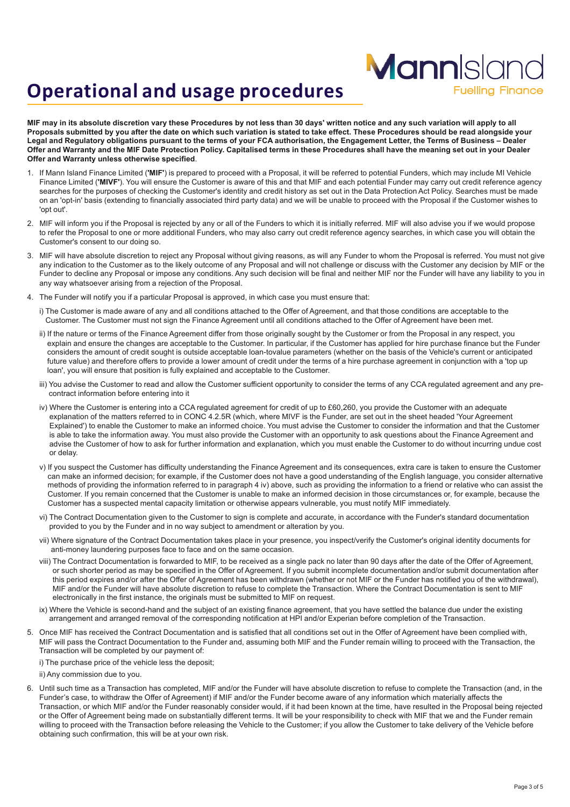# **Operational and usage procedures**

MIF may in its absolute discretion vary these Procedures by not less than 30 days' written notice and any such variation will apply to all Proposals submitted by you after the date on which such variation is stated to take effect. These Procedures should be read alongside your Legal and Regulatory obligations pursuant to the terms of your FCA authorisation, the Engagement Letter, the Terms of Business - Dealer Offer and Warranty and the MIF Date Protection Policy. Capitalised terms in these Procedures shall have the meaning set out in your Dealer **Offer and Warranty unless otherwise specified**.

**Mann**Island

**Fuelling Finance** 

- 1. If Mann Island Finance Limited (**'MIF'**) is prepared to proceed with a Proposal, it will be referred to potential Funders, which may include MI Vehicle Finance Limited (**'MIVF'**). You will ensure the Customer is aware of this and that MIF and each potential Funder may carry out credit reference agency searches for the purposes of checking the Customer's identity and credit history as set out in the Data Protection Act Policy. Searches must be made on an 'opt-in' basis (extending to financially associated third party data) and we will be unable to proceed with the Proposal if the Customer wishes to 'opt out'.
- 2. MIF will inform you if the Proposal is rejected by any or all of the Funders to which it is initially referred. MIF will also advise you if we would propose to refer the Proposal to one or more additional Funders, who may also carry out credit reference agency searches, in which case you will obtain the Customer's consent to our doing so.
- 3. MIF will have absolute discretion to reject any Proposal without giving reasons, as will any Funder to whom the Proposal is referred. You must not give any indication to the Customer as to the likely outcome of any Proposal and will not challenge or discuss with the Customer any decision by MIF or the Funder to decline any Proposal or impose any conditions. Any such decision will be final and neither MIF nor the Funder will have any liability to you in any way whatsoever arising from a rejection of the Proposal.
- 4. The Funder will notify you if a particular Proposal is approved, in which case you must ensure that:
	- i) The Customer is made aware of any and all conditions attached to the Offer of Agreement, and that those conditions are acceptable to the Customer. The Customer must not sign the Finance Agreement until all conditions attached to the Offer of Agreement have been met.
	- ii) If the nature or terms of the Finance Agreement differ from those originally sought by the Customer or from the Proposal in any respect, you explain and ensure the changes are acceptable to the Customer. In particular, if the Customer has applied for hire purchase finance but the Funder considers the amount of credit sought is outside acceptable loan-tovalue parameters (whether on the basis of the Vehicle's current or anticipated future value) and therefore offers to provide a lower amount of credit under the terms of a hire purchase agreement in conjunction with a 'top up loan', you will ensure that position is fully explained and acceptable to the Customer.
	- iii) You advise the Customer to read and allow the Customer sufficient opportunity to consider the terms of any CCA regulated agreement and any precontract information before entering into it
	- iv) Where the Customer is entering into a CCA regulated agreement for credit of up to £60,260, you provide the Customer with an adequate explanation of the matters referred to in CONC 4.2.5R (which, where MIVF is the Funder, are set out in the sheet headed 'Your Agreement Explained') to enable the Customer to make an informed choice. You must advise the Customer to consider the information and that the Customer is able to take the information away. You must also provide the Customer with an opportunity to ask questions about the Finance Agreement and advise the Customer of how to ask for further information and explanation, which you must enable the Customer to do without incurring undue cost or delay.
	- v) If you suspect the Customer has difficulty understanding the Finance Agreement and its consequences, extra care is taken to ensure the Customer can make an informed decision; for example, if the Customer does not have a good understanding of the English language, you consider alternative methods of providing the information referred to in paragraph 4 iv) above, such as providing the information to a friend or relative who can assist the Customer. If you remain concerned that the Customer is unable to make an informed decision in those circumstances or, for example, because the Customer has a suspected mental capacity limitation or otherwise appears vulnerable, you must notify MIF immediately.
	- vi) The Contract Documentation given to the Customer to sign is complete and accurate, in accordance with the Funder's standard documentation provided to you by the Funder and in no way subject to amendment or alteration by you.
	- vii) Where signature of the Contract Documentation takes place in your presence, you inspect/verify the Customer's original identity documents for anti-money laundering purposes face to face and on the same occasion.
	- viii) The Contract Documentation is forwarded to MIF, to be received as a single pack no later than 90 days after the date of the Offer of Agreement, or such shorter period as may be specified in the Offer of Agreement. If you submit incomplete documentation and/or submit documentation after this period expires and/or after the Offer of Agreement has been withdrawn (whether or not MIF or the Funder has notified you of the withdrawal), MIF and/or the Funder will have absolute discretion to refuse to complete the Transaction. Where the Contract Documentation is sent to MIF electronically in the first instance, the originals must be submitted to MIF on request.
	- ix) Where the Vehicle is second-hand and the subject of an existing finance agreement, that you have settled the balance due under the existing arrangement and arranged removal of the corresponding notification at HPI and/or Experian before completion of the Transaction.
- 5. Once MIF has received the Contract Documentation and is satisfied that all conditions set out in the Offer of Agreement have been complied with, MIF will pass the Contract Documentation to the Funder and, assuming both MIF and the Funder remain willing to proceed with the Transaction, the Transaction will be completed by our payment of:

i) The purchase price of the vehicle less the deposit;

ii) Any commission due to you.

6. Until such time as a Transaction has completed, MIF and/or the Funder will have absolute discretion to refuse to complete the Transaction (and, in the Funder's case, to withdraw the Offer of Agreement) if MIF and/or the Funder become aware of any information which materially affects the Transaction, or which MIF and/or the Funder reasonably consider would, if it had been known at the time, have resulted in the Proposal being rejected or the Offer of Agreement being made on substantially different terms. It will be your responsibility to check with MIF that we and the Funder remain willing to proceed with the Transaction before releasing the Vehicle to the Customer; if you allow the Customer to take delivery of the Vehicle before obtaining such confirmation, this will be at your own risk.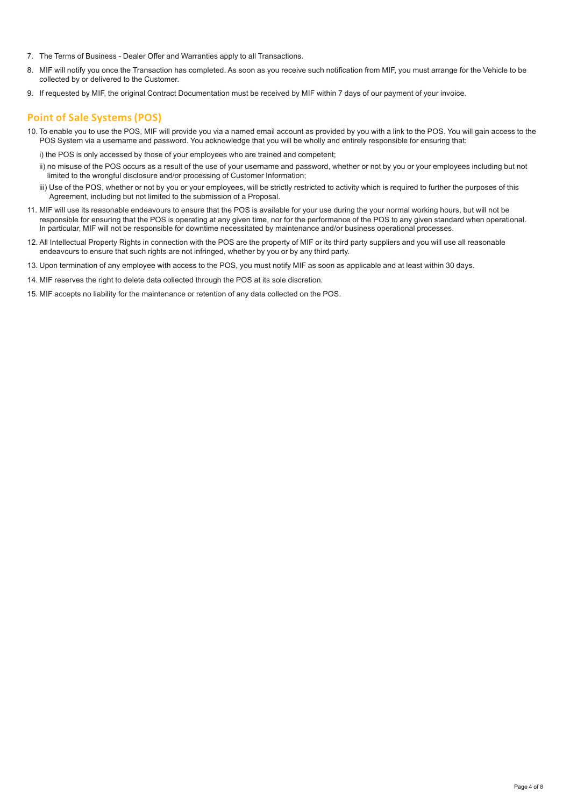- 7. The Terms of Business Dealer Offer and Warranties apply to all Transactions.
- 8. MIF will notify you once the Transaction has completed. As soon as you receive such notification from MIF, you must arrange for the Vehicle to be collected by or delivered to the Customer.
- 9. If requested by MIF, the original Contract Documentation must be received by MIF within 7 days of our payment of your invoice.

### **Point of Sale Systems(POS)**

- 10. To enable you to use the POS, MIF will provide you via a named email account as provided by you with a link to the POS. You will gain access to the POS System via a username and password. You acknowledge that you will be wholly and entirely responsible for ensuring that:
	- i) the POS is only accessed by those of your employees who are trained and competent;
	- ii) no misuse of the POS occurs as a result of the use of your username and password, whether or not by you or your employees including but not limited to the wrongful disclosure and/or processing of Customer Information;
	- iii) Use of the POS, whether or not by you or your employees, will be strictly restricted to activity which is required to further the purposes of this Agreement, including but not limited to the submission of a Proposal.
- 11. MIF will use its reasonable endeavours to ensure that the POS is available for your use during the your normal working hours, but will not be responsible for ensuring that the POS is operating at any given time, nor for the performance of the POS to any given standard when operational. In particular, MIF will not be responsible for downtime necessitated by maintenance and/or business operational processes.
- 12. All Intellectual Property Rights in connection with the POS are the property of MIF or its third party suppliers and you will use all reasonable endeavours to ensure that such rights are not infringed, whether by you or by any third party.
- 13. Upon termination of any employee with access to the POS, you must notify MIF as soon as applicable and at least within 30 days.
- 14. MIF reserves the right to delete data collected through the POS at its sole discretion.
- 15. MIF accepts no liability for the maintenance or retention of any data collected on the POS.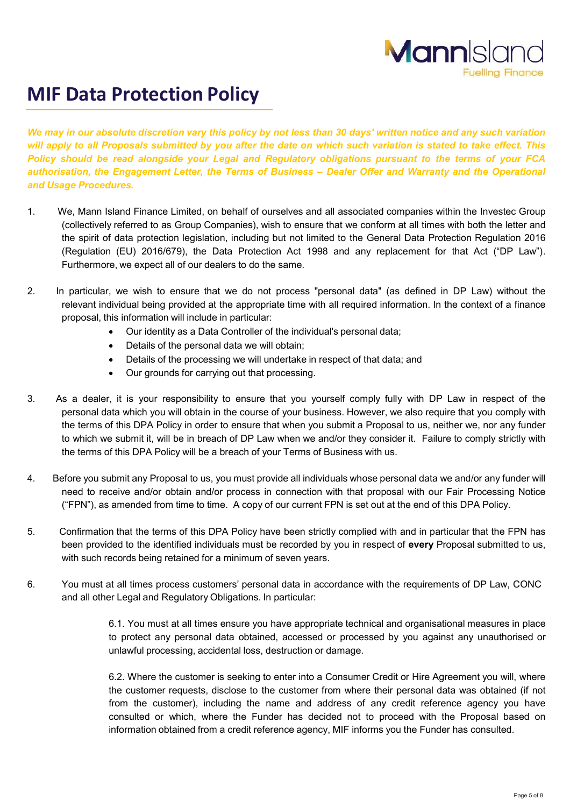

## **MIF Data Protection Policy**

We may in our absolute discretion vary this policy by not less than 30 days' written notice and any such variation will apply to all Proposals submitted by you after the date on which such variation is stated to take effect. This *Policy should be read alongside your Legal and Regulatory obligations pursuant to the terms of your FCA authorisation, the Engagement Letter, the Terms of Business – Dealer Offer and Warranty and the Operational and Usage Procedures.*

- 1. We, Mann Island Finance Limited, on behalf of ourselves and all associated companies within the Investec Group (collectively referred to as Group Companies), wish to ensure that we conform at all times with both the letter and the spirit of data protection legislation, including but not limited to the General Data Protection Regulation 2016 (Regulation (EU) 2016/679), the Data Protection Act 1998 and any replacement for that Act ("DP Law"). Furthermore, we expect all of our dealers to do the same.
- 2. In particular, we wish to ensure that we do not process "personal data" (as defined in DP Law) without the relevant individual being provided at the appropriate time with all required information. In the context of a finance proposal, this information will include in particular:
	- Our identity as a Data Controller of the individual's personal data;
	- Details of the personal data we will obtain;
	- Details of the processing we will undertake in respect of that data; and
	- Our grounds for carrying out that processing.
- 3. As a dealer, it is your responsibility to ensure that you yourself comply fully with DP Law in respect of the personal data which you will obtain in the course of your business. However, we also require that you comply with the terms of this DPA Policy in order to ensure that when you submit a Proposal to us, neither we, nor any funder to which we submit it, will be in breach of DP Law when we and/or they consider it. Failure to comply strictly with the terms of this DPA Policy will be a breach of your Terms of Business with us.
- 4. Before you submit any Proposal to us, you must provide all individuals whose personal data we and/or any funder will need to receive and/or obtain and/or process in connection with that proposal with our Fair Processing Notice ("FPN"), as amended from time to time. A copy of our current FPN is set out at the end of this DPA Policy.
- 5. Confirmation that the terms of this DPA Policy have been strictly complied with and in particular that the FPN has been provided to the identified individuals must be recorded by you in respect of **every** Proposal submitted to us, with such records being retained for a minimum of seven years.
- 6. You must at all times process customers' personal data in accordance with the requirements of DP Law, CONC and all other Legal and Regulatory Obligations. In particular:

6.1. You must at all times ensure you have appropriate technical and organisational measures in place to protect any personal data obtained, accessed or processed by you against any unauthorised or unlawful processing, accidental loss, destruction or damage.

6.2. Where the customer is seeking to enter into a Consumer Credit or Hire Agreement you will, where the customer requests, disclose to the customer from where their personal data was obtained (if not from the customer), including the name and address of any credit reference agency you have consulted or which, where the Funder has decided not to proceed with the Proposal based on information obtained from a credit reference agency, MIF informs you the Funder has consulted.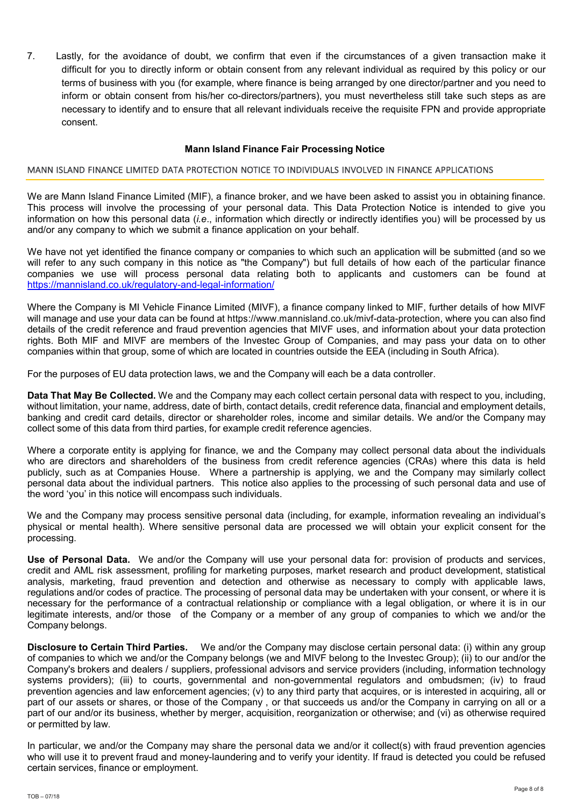7. Lastly, for the avoidance of doubt, we confirm that even if the circumstances of a given transaction make it difficult for you to directly inform or obtain consent from any relevant individual as required by this policy or our terms of business with you (for example, where finance is being arranged by one director/partner and you need to inform or obtain consent from his/her co-directors/partners), you must nevertheless still take such steps as are necessary to identify and to ensure that all relevant individuals receive the requisite FPN and provide appropriate consent.

### **Mann Island Finance Fair Processing Notice**

#### MANN ISLAND FINANCE LIMITED DATA PROTECTION NOTICE TO INDIVIDUALS INVOLVED IN FINANCE APPLICATIONS

We are Mann Island Finance Limited (MIF), a finance broker, and we have been asked to assist you in obtaining finance. This process will involve the processing of your personal data. This Data Protection Notice is intended to give you information on how this personal data (*i.e*., information which directly or indirectly identifies you) will be processed by us and/or any company to which we submit a finance application on your behalf.

We have not yet identified the finance company or companies to which such an application will be submitted (and so we will refer to any such company in this notice as "the Company") but full details of how each of the particular finance companies we use will process personal data relating both to applicants and customers can be found at https://mannisland.co.uk/regulatory-and-legal-information/

Where the Company is MI Vehicle Finance Limited (MIVF), a finance company linked to MIF, further details of how MIVF will manage and use your data can be found at https://www.mannisland.co.uk/mivf-data-protection, where you can also find details of the credit reference and fraud prevention agencies that MIVF uses, and information about your data protection rights. Both MIF and MIVF are members of the Investec Group of Companies, and may pass your data on to other companies within that group, some of which are located in countries outside the EEA (including in South Africa).

For the purposes of EU data protection laws, we and the Company will each be a data controller.

**Data That May Be Collected.** We and the Company may each collect certain personal data with respect to you, including, without limitation, your name, address, date of birth, contact details, credit reference data, financial and employment details, banking and credit card details, director or shareholder roles, income and similar details. We and/or the Company may collect some of this data from third parties, for example credit reference agencies.

Where a corporate entity is applying for finance, we and the Company may collect personal data about the individuals who are directors and shareholders of the business from credit reference agencies (CRAs) where this data is held publicly, such as at Companies House. Where a partnership is applying, we and the Company may similarly collect personal data about the individual partners. This notice also applies to the processing of such personal data and use of the word 'you' in this notice will encompass such individuals.

We and the Company may process sensitive personal data (including, for example, information revealing an individual's physical or mental health). Where sensitive personal data are processed we will obtain your explicit consent for the processing.

**Use of Personal Data.** We and/or the Company will use your personal data for: provision of products and services, credit and AML risk assessment, profiling for marketing purposes, market research and product development, statistical analysis, marketing, fraud prevention and detection and otherwise as necessary to comply with applicable laws, regulations and/or codes of practice. The processing of personal data may be undertaken with your consent, or where it is necessary for the performance of a contractual relationship or compliance with a legal obligation, or where it is in our legitimate interests, and/or those of the Company or a member of any group of companies to which we and/or the Company belongs.

**Disclosure to Certain Third Parties.** We and/or the Company may disclose certain personal data: (i) within any group of companies to which we and/or the Company belongs (we and MIVF belong to the Investec Group); (ii) to our and/or the Company's brokers and dealers / suppliers, professional advisors and service providers (including, information technology systems providers); (iii) to courts, governmental and non-governmental regulators and ombudsmen; (iv) to fraud prevention agencies and law enforcement agencies; (v) to any third party that acquires, or is interested in acquiring, all or part of our assets or shares, or those of the Company , or that succeeds us and/or the Company in carrying on all or a part of our and/or its business, whether by merger, acquisition, reorganization or otherwise; and (vi) as otherwise required or permitted by law.

In particular, we and/or the Company may share the personal data we and/or it collect(s) with fraud prevention agencies who will use it to prevent fraud and money-laundering and to verify your identity. If fraud is detected you could be refused certain services, finance or employment.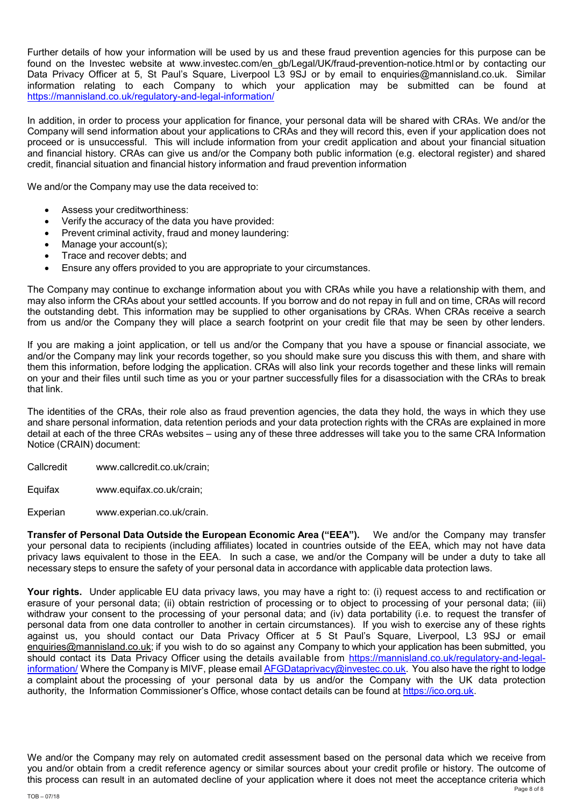Further details of how your information will be used by us and these fraud prevention agencies for this purpose can be found on the Investec website at www.investec.com/en\_gb/Legal/UK/fraud-prevention-notice.html or by contacting our Data Privacy Officer at 5, St Paul's Square, Liverpool L3 9SJ or by email to enquiries@mannisland.co.uk. Similar information relating to each Company to which your application may be submitted can be found at https://mannisland.co.uk/regulatory-and-legal-information/

In addition, in order to process your application for finance, your personal data will be shared with CRAs. We and/or the Company will send information about your applications to CRAs and they will record this, even if your application does not proceed or is unsuccessful. This will include information from your credit application and about your financial situation and financial history. CRAs can give us and/or the Company both public information (e.g. electoral register) and shared credit, financial situation and financial history information and fraud prevention information

We and/or the Company may use the data received to:

- Assess your creditworthiness:
- Verify the accuracy of the data you have provided:
- Prevent criminal activity, fraud and money laundering:
- Manage your account(s);
- Trace and recover debts; and
- Ensure any offers provided to you are appropriate to your circumstances.

The Company may continue to exchange information about you with CRAs while you have a relationship with them, and may also inform the CRAs about your settled accounts. If you borrow and do not repay in full and on time, CRAs will record the outstanding debt. This information may be supplied to other organisations by CRAs. When CRAs receive a search from us and/or the Company they will place a search footprint on your credit file that may be seen by other lenders.

If you are making a joint application, or tell us and/or the Company that you have a spouse or financial associate, we and/or the Company may link your records together, so you should make sure you discuss this with them, and share with them this information, before lodging the application. CRAs will also link your records together and these links will remain on your and their files until such time as you or your partner successfully files for a disassociation with the CRAs to break that link.

The identities of the CRAs, their role also as fraud prevention agencies, the data they hold, the ways in which they use and share personal information, data retention periods and your data protection rights with the CRAs are explained in more detail at each of the three CRAs websites – using any of these three addresses will take you to the same CRA Information Notice (CRAIN) document:

- Callcredit www.callcredit.co.uk/crain;
- Equifax www.equifax.co.uk/crain;

Experian www.experian.co.uk/crain.

**Transfer of Personal Data Outside the European Economic Area ("EEA").** We and/or the Company may transfer your personal data to recipients (including affiliates) located in countries outside of the EEA, which may not have data privacy laws equivalent to those in the EEA. In such a case, we and/or the Company will be under a duty to take all necessary steps to ensure the safety of your personal data in accordance with applicable data protection laws.

**Your rights.** Under applicable EU data privacy laws, you may have a right to: (i) request access to and rectification or erasure of your personal data; (ii) obtain restriction of processing or to object to processing of your personal data; (iii) withdraw your consent to the processing of your personal data; and (iv) data portability (i.e. to request the transfer of personal data from one data controller to another in certain circumstances). If you wish to exercise any of these rights against us, you should contact our Data Privacy Officer at 5 St Paul's Square, Liverpool, L3 9SJ or email enquiries@mannisland.co.uk; if you wish to do so against any Company to which your application has been submitted, you should contact its Data Privacy Officer using the details available from https://mannisland.co.uk/regulatory-and-legalinformation/ Where the Company is MIVF, please email AFGDataprivacy@investec.co.uk. You also have the right to lodge a complaint about the processing of your personal data by us and/or the Company with the UK data protection authority, the Information Commissioner's Office, whose contact details can be found at https://ico.org.uk.

Page 8 of 8 We and/or the Company may rely on automated credit assessment based on the personal data which we receive from you and/or obtain from a credit reference agency or similar sources about your credit profile or history. The outcome of this process can result in an automated decline of your application where it does not meet the acceptance criteria which